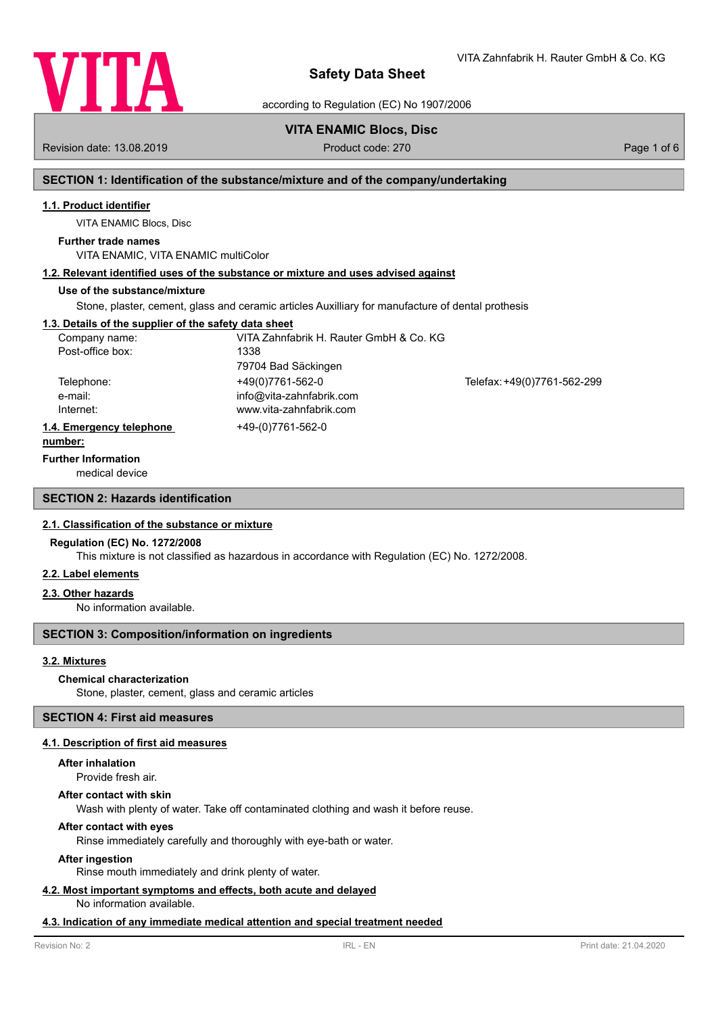

VITA Zahnfabrik H. Rauter GmbH & Co. KG

according to Regulation (EC) No 1907/2006

# **VITA ENAMIC Blocs, Disc**

Revision date: 13.08.2019 **Product code: 270** Product code: 270 **Page 1 of 6** Page 1 of 6

# **SECTION 1: Identification of the substance/mixture and of the company/undertaking**

# **1.1. Product identifier**

VITA ENAMIC Blocs, Disc

# **Further trade names**

VITA ENAMIC, VITA ENAMIC multiColor

# **1.2. Relevant identified uses of the substance or mixture and uses advised against**

# **Use of the substance/mixture**

Stone, plaster, cement, glass and ceramic articles Auxilliary for manufacture of dental prothesis

# **1.3. Details of the supplier of the safety data sheet**

| Company name:            | VITA Zahnfabrik H. Rauter GmbH & Co. KG |                             |
|--------------------------|-----------------------------------------|-----------------------------|
| Post-office box:         | 1338                                    |                             |
|                          | 79704 Bad Säckingen                     |                             |
| Telephone:               | +49(0)7761-562-0                        | Telefax: +49(0)7761-562-299 |
| e-mail:                  | info@vita-zahnfabrik.com                |                             |
| Internet:                | www.vita-zahnfabrik.com                 |                             |
| 1.4. Emergency telephone | +49-(0)7761-562-0                       |                             |
|                          |                                         |                             |

#### **number:**

### **Further Information**

medical device

# **SECTION 2: Hazards identification**

### **2.1. Classification of the substance or mixture**

# **Regulation (EC) No. 1272/2008**

This mixture is not classified as hazardous in accordance with Regulation (EC) No. 1272/2008.

## **2.2. Label elements**

### **2.3. Other hazards**

No information available.

## **SECTION 3: Composition/information on ingredients**

### **3.2. Mixtures**

### **Chemical characterization**

Stone, plaster, cement, glass and ceramic articles

# **SECTION 4: First aid measures**

### **4.1. Description of first aid measures**

### **After inhalation**

Provide fresh air.

### **After contact with skin**

Wash with plenty of water. Take off contaminated clothing and wash it before reuse.

## **After contact with eyes**

Rinse immediately carefully and thoroughly with eye-bath or water.

### **After ingestion**

Rinse mouth immediately and drink plenty of water.

# **4.2. Most important symptoms and effects, both acute and delayed**

No information available.

### **4.3. Indication of any immediate medical attention and special treatment needed**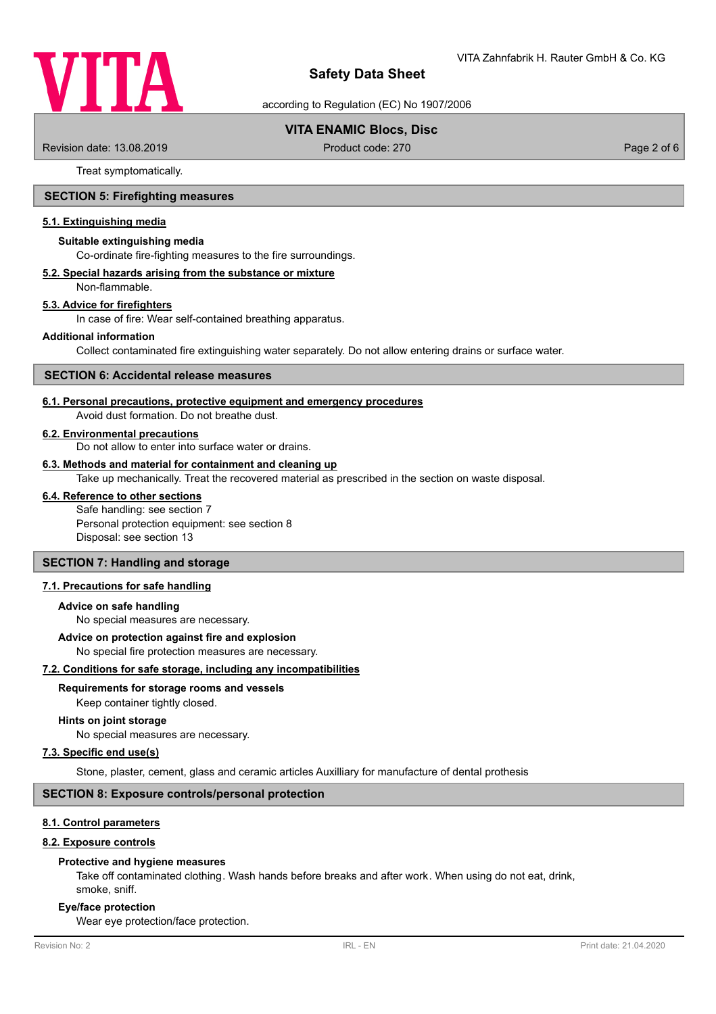

according to Regulation (EC) No 1907/2006

# **VITA ENAMIC Blocs, Disc**

Revision date: 13.08.2019 **Product code: 270** Product code: 270 **Page 2 of 6** Page 2 of 6

Treat symptomatically.

# **SECTION 5: Firefighting measures**

### **5.1. Extinguishing media**

#### **Suitable extinguishing media**

Co-ordinate fire-fighting measures to the fire surroundings.

#### **5.2. Special hazards arising from the substance or mixture**

Non-flammable.

## **5.3. Advice for firefighters**

In case of fire: Wear self-contained breathing apparatus.

### **Additional information**

Collect contaminated fire extinguishing water separately. Do not allow entering drains or surface water.

### **SECTION 6: Accidental release measures**

### **6.1. Personal precautions, protective equipment and emergency procedures**

Avoid dust formation. Do not breathe dust.

## **6.2. Environmental precautions**

Do not allow to enter into surface water or drains.

### **6.3. Methods and material for containment and cleaning up**

Take up mechanically. Treat the recovered material as prescribed in the section on waste disposal.

# **6.4. Reference to other sections**

Safe handling: see section 7 Personal protection equipment: see section 8 Disposal: see section 13

# **SECTION 7: Handling and storage**

# **7.1. Precautions for safe handling**

#### **Advice on safe handling**

No special measures are necessary.

#### **Advice on protection against fire and explosion**

No special fire protection measures are necessary.

### **7.2. Conditions for safe storage, including any incompatibilities**

### **Requirements for storage rooms and vessels**

Keep container tightly closed.

### **Hints on joint storage**

No special measures are necessary.

### **7.3. Specific end use(s)**

Stone, plaster, cement, glass and ceramic articles Auxilliary for manufacture of dental prothesis

### **SECTION 8: Exposure controls/personal protection**

# **8.1. Control parameters**

### **8.2. Exposure controls**

#### **Protective and hygiene measures**

Take off contaminated clothing. Wash hands before breaks and after work. When using do not eat, drink, smoke, sniff.

#### **Eye/face protection**

Wear eye protection/face protection.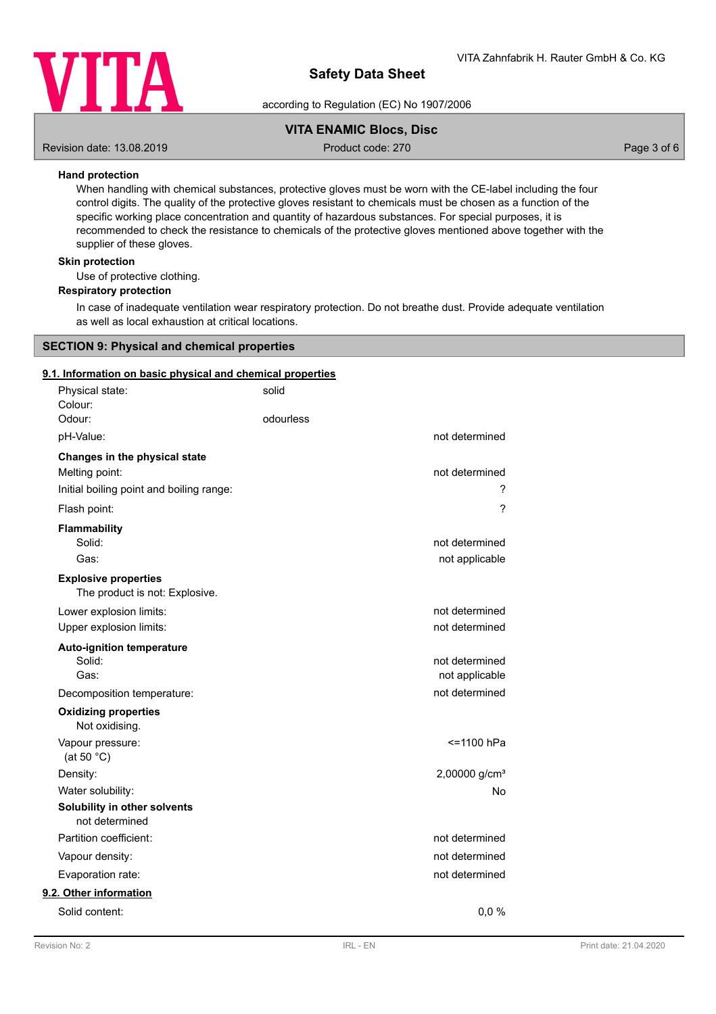

according to Regulation (EC) No 1907/2006

# **VITA ENAMIC Blocs, Disc**

Revision date: 13.08.2019 **Product code: 270** Product code: 270 **Page 3 of 6** Page 3 of 6

## **Hand protection**

When handling with chemical substances, protective gloves must be worn with the CE-label including the four control digits. The quality of the protective gloves resistant to chemicals must be chosen as a function of the specific working place concentration and quantity of hazardous substances. For special purposes, it is recommended to check the resistance to chemicals of the protective gloves mentioned above together with the supplier of these gloves.

## **Skin protection**

Use of protective clothing.

### **Respiratory protection**

In case of inadequate ventilation wear respiratory protection. Do not breathe dust. Provide adequate ventilation as well as local exhaustion at critical locations.

### **SECTION 9: Physical and chemical properties**

### **9.1. Information on basic physical and chemical properties**

| solid     |                           |
|-----------|---------------------------|
| odourless |                           |
|           | not determined            |
|           |                           |
|           | not determined            |
|           | ?                         |
|           | $\gamma$                  |
|           |                           |
|           | not determined            |
|           | not applicable            |
|           |                           |
|           | not determined            |
|           | not determined            |
|           |                           |
|           | not determined            |
|           | not applicable            |
|           | not determined            |
|           |                           |
|           | <= 1100 hPa               |
|           | 2,00000 g/cm <sup>3</sup> |
|           | No                        |
|           |                           |
|           | not determined            |
|           | not determined            |
|           | not determined            |
|           |                           |
|           | 0,0%                      |
|           |                           |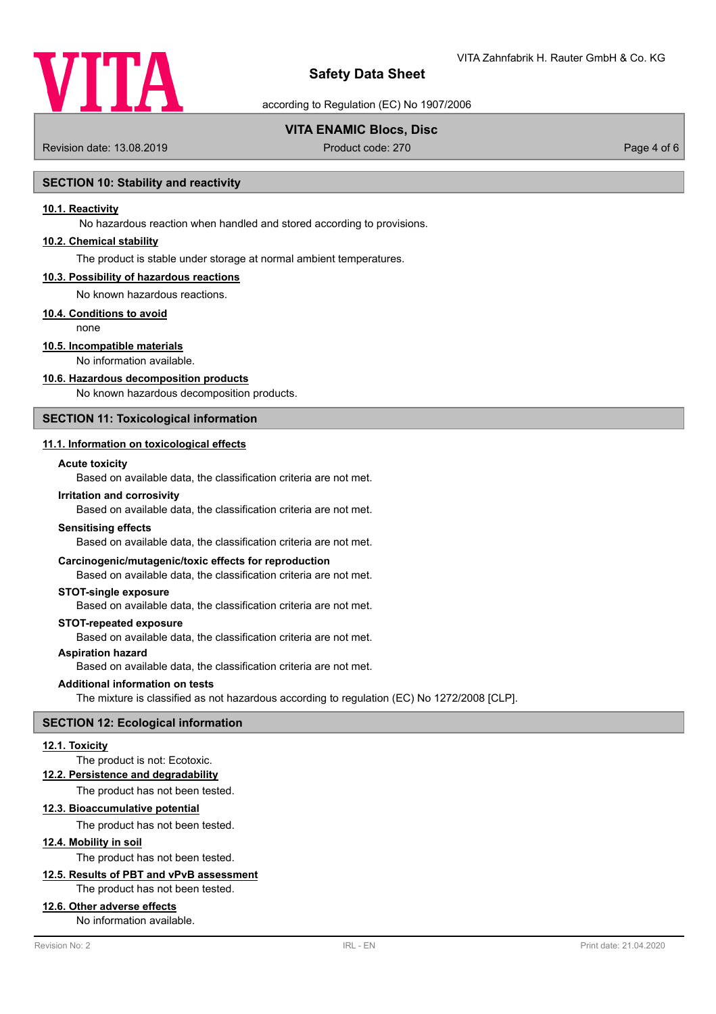

according to Regulation (EC) No 1907/2006

# **VITA ENAMIC Blocs, Disc**

Revision date: 13.08.2019 **Product code: 270** Product code: 270 **Page 4 of 6** Page 4 of 6

# **SECTION 10: Stability and reactivity**

### **10.1. Reactivity**

No hazardous reaction when handled and stored according to provisions.

## **10.2. Chemical stability**

The product is stable under storage at normal ambient temperatures.

#### **10.3. Possibility of hazardous reactions**

No known hazardous reactions.

### **10.4. Conditions to avoid**

none

# **10.5. Incompatible materials**

No information available.

### **10.6. Hazardous decomposition products**

No known hazardous decomposition products.

# **SECTION 11: Toxicological information**

# **11.1. Information on toxicological effects**

### **Acute toxicity**

Based on available data, the classification criteria are not met.

#### **Irritation and corrosivity**

Based on available data, the classification criteria are not met.

#### **Sensitising effects**

Based on available data, the classification criteria are not met.

### **Carcinogenic/mutagenic/toxic effects for reproduction**

Based on available data, the classification criteria are not met.

### **STOT-single exposure**

Based on available data, the classification criteria are not met.

#### **STOT-repeated exposure**

Based on available data, the classification criteria are not met.

# **Aspiration hazard**

Based on available data, the classification criteria are not met.

#### **Additional information on tests**

The mixture is classified as not hazardous according to regulation (EC) No 1272/2008 [CLP].

### **SECTION 12: Ecological information**

### **12.1. Toxicity**

### The product is not: Ecotoxic.

**12.2. Persistence and degradability**

The product has not been tested.

### **12.3. Bioaccumulative potential**

The product has not been tested.

# **12.4. Mobility in soil**

The product has not been tested.

# **12.5. Results of PBT and vPvB assessment**

The product has not been tested.

### **12.6. Other adverse effects**

No information available.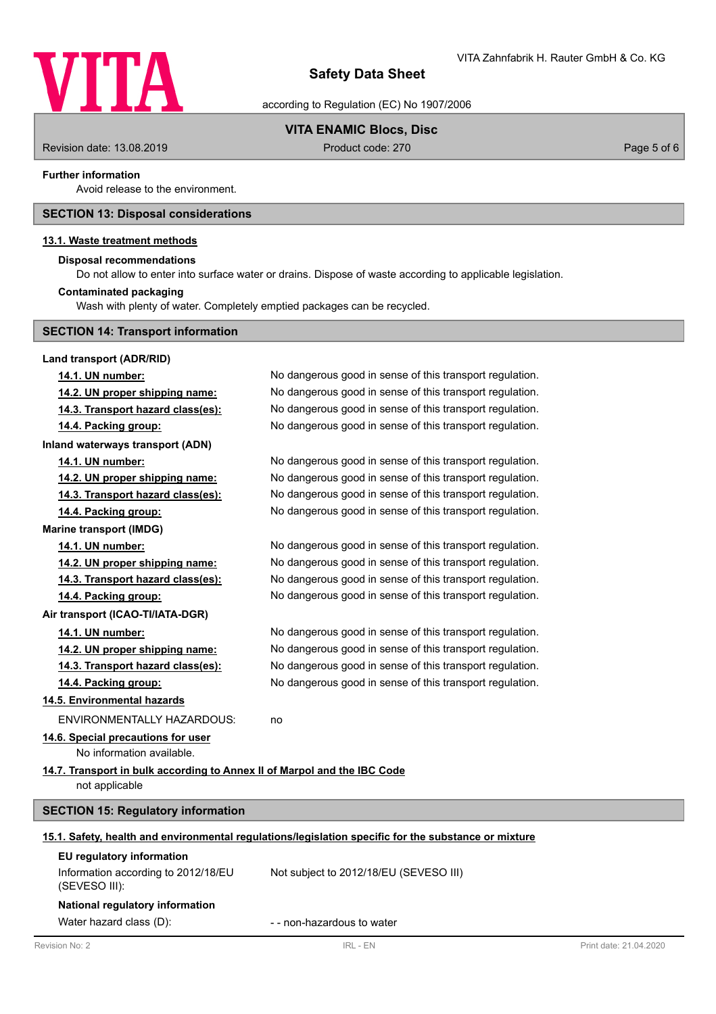

according to Regulation (EC) No 1907/2006

# **VITA ENAMIC Blocs, Disc**

Revision date: 13.08.2019 **Product code: 270** Product code: 270 **Page 5 of 6** Page 5 of 6

### **Further information**

Avoid release to the environment.

# **SECTION 13: Disposal considerations**

## **13.1. Waste treatment methods**

### **Disposal recommendations**

Do not allow to enter into surface water or drains. Dispose of waste according to applicable legislation.

# **Contaminated packaging**

Wash with plenty of water. Completely emptied packages can be recycled.

|  |  |  |  | <b>SECTION 14: Transport information</b> |
|--|--|--|--|------------------------------------------|
|--|--|--|--|------------------------------------------|

| Land transport (ADR/RID)                                                 |                                                                                                      |                        |
|--------------------------------------------------------------------------|------------------------------------------------------------------------------------------------------|------------------------|
| 14.1. UN number:                                                         | No dangerous good in sense of this transport regulation.                                             |                        |
| 14.2. UN proper shipping name:                                           | No dangerous good in sense of this transport regulation.                                             |                        |
| 14.3. Transport hazard class(es):                                        | No dangerous good in sense of this transport regulation.                                             |                        |
| 14.4. Packing group:                                                     | No dangerous good in sense of this transport regulation.                                             |                        |
| Inland waterways transport (ADN)                                         |                                                                                                      |                        |
| 14.1. UN number:                                                         | No dangerous good in sense of this transport regulation.                                             |                        |
| 14.2. UN proper shipping name:                                           | No dangerous good in sense of this transport regulation.                                             |                        |
| 14.3. Transport hazard class(es):                                        | No dangerous good in sense of this transport regulation.                                             |                        |
| 14.4. Packing group:                                                     | No dangerous good in sense of this transport regulation.                                             |                        |
| <b>Marine transport (IMDG)</b>                                           |                                                                                                      |                        |
| 14.1. UN number:                                                         | No dangerous good in sense of this transport regulation.                                             |                        |
| 14.2. UN proper shipping name:                                           | No dangerous good in sense of this transport regulation.                                             |                        |
| 14.3. Transport hazard class(es):                                        | No dangerous good in sense of this transport regulation.                                             |                        |
| 14.4. Packing group:                                                     | No dangerous good in sense of this transport regulation.                                             |                        |
| Air transport (ICAO-TI/IATA-DGR)                                         |                                                                                                      |                        |
| 14.1. UN number:                                                         | No dangerous good in sense of this transport regulation.                                             |                        |
| 14.2. UN proper shipping name:                                           | No dangerous good in sense of this transport regulation.                                             |                        |
| 14.3. Transport hazard class(es):                                        | No dangerous good in sense of this transport regulation.                                             |                        |
| 14.4. Packing group:                                                     | No dangerous good in sense of this transport regulation.                                             |                        |
| 14.5. Environmental hazards                                              |                                                                                                      |                        |
| <b>ENVIRONMENTALLY HAZARDOUS:</b>                                        | no                                                                                                   |                        |
| 14.6. Special precautions for user                                       |                                                                                                      |                        |
| No information available.                                                |                                                                                                      |                        |
| 14.7. Transport in bulk according to Annex II of Marpol and the IBC Code |                                                                                                      |                        |
| not applicable                                                           |                                                                                                      |                        |
| <b>SECTION 15: Regulatory information</b>                                |                                                                                                      |                        |
|                                                                          | 15.1. Safety, health and environmental regulations/legislation specific for the substance or mixture |                        |
| EU regulatory information                                                |                                                                                                      |                        |
| Information according to 2012/18/EU<br>(SEVESO III):                     | Not subject to 2012/18/EU (SEVESO III)                                                               |                        |
| National regulatory information                                          |                                                                                                      |                        |
| Water hazard class (D):                                                  | - - non-hazardous to water                                                                           |                        |
| Revision No: 2                                                           | IRL - EN                                                                                             | Print date: 21.04.2020 |